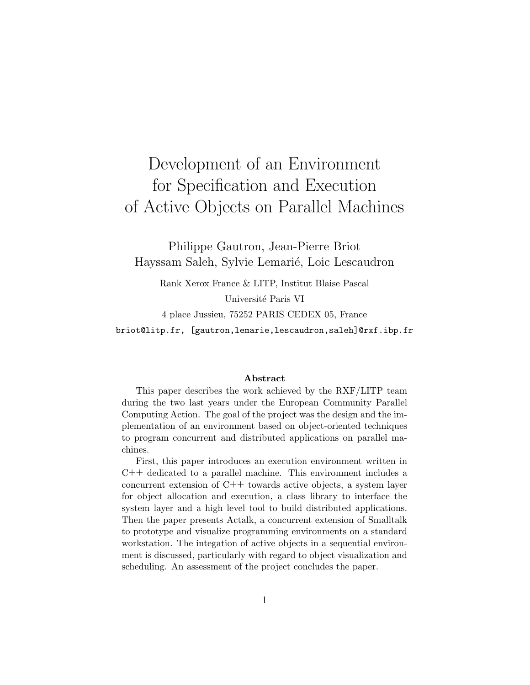# Development of an Environment for Specification and Execution of Active Objects on Parallel Machines

Philippe Gautron, Jean-Pierre Briot Hayssam Saleh, Sylvie Lemarié, Loic Lescaudron

Rank Xerox France & LITP, Institut Blaise Pascal Université Paris VI 4 place Jussieu, 75252 PARIS CEDEX 05, France briot@litp.fr, [gautron,lemarie,lescaudron,saleh]@rxf.ibp.fr

#### Abstract

This paper describes the work achieved by the RXF/LITP team during the two last years under the European Community Parallel Computing Action. The goal of the project was the design and the implementation of an environment based on object-oriented techniques to program concurrent and distributed applications on parallel machines.

First, this paper introduces an execution environment written in C++ dedicated to a parallel machine. This environment includes a concurrent extension of C++ towards active objects, a system layer for object allocation and execution, a class library to interface the system layer and a high level tool to build distributed applications. Then the paper presents Actalk, a concurrent extension of Smalltalk to prototype and visualize programming environments on a standard workstation. The integation of active objects in a sequential environment is discussed, particularly with regard to object visualization and scheduling. An assessment of the project concludes the paper.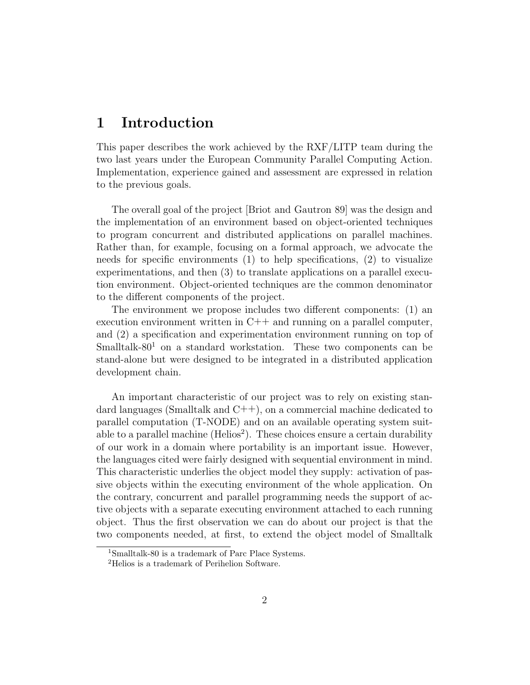# 1 Introduction

This paper describes the work achieved by the RXF/LITP team during the two last years under the European Community Parallel Computing Action. Implementation, experience gained and assessment are expressed in relation to the previous goals.

The overall goal of the project [Briot and Gautron 89] was the design and the implementation of an environment based on object-oriented techniques to program concurrent and distributed applications on parallel machines. Rather than, for example, focusing on a formal approach, we advocate the needs for specific environments (1) to help specifications, (2) to visualize experimentations, and then (3) to translate applications on a parallel execution environment. Object-oriented techniques are the common denominator to the different components of the project.

The environment we propose includes two different components: (1) an execution environment written in C++ and running on a parallel computer, and (2) a specification and experimentation environment running on top of Smalltalk-80<sup>1</sup> on a standard workstation. These two components can be stand-alone but were designed to be integrated in a distributed application development chain.

An important characteristic of our project was to rely on existing standard languages (Smalltalk and  $C++$ ), on a commercial machine dedicated to parallel computation (T-NODE) and on an available operating system suitable to a parallel machine ( $\text{Helios}^2$ ). These choices ensure a certain durability of our work in a domain where portability is an important issue. However, the languages cited were fairly designed with sequential environment in mind. This characteristic underlies the object model they supply: activation of passive objects within the executing environment of the whole application. On the contrary, concurrent and parallel programming needs the support of active objects with a separate executing environment attached to each running object. Thus the first observation we can do about our project is that the two components needed, at first, to extend the object model of Smalltalk

<sup>1</sup>Smalltalk-80 is a trademark of Parc Place Systems.

<sup>2</sup>Helios is a trademark of Perihelion Software.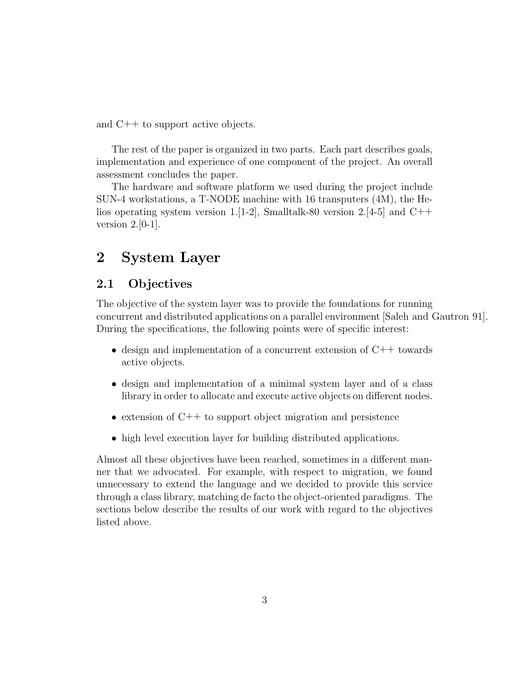and C++ to support active objects.

The rest of the paper is organized in two parts. Each part describes goals, implementation and experience of one component of the project. An overall assessment concludes the paper.

The hardware and software platform we used during the project include SUN-4 workstations, a T-NODE machine with 16 transputers (4M), the Helios operating system version 1.[1-2], Smalltalk-80 version 2.[4-5] and C++ version  $2.[0-1]$ .

# 2 System Layer

### 2.1 Objectives

The objective of the system layer was to provide the foundations for running concurrent and distributed applications on a parallel environment [Saleh and Gautron 91]. During the specifications, the following points were of specific interest:

- design and implementation of a concurrent extension of C++ towards active objects.
- design and implementation of a minimal system layer and of a class library in order to allocate and execute active objects on different nodes.
- extension of C++ to support object migration and persistence
- high level execution layer for building distributed applications.

Almost all these objectives have been reached, sometimes in a different manner that we advocated. For example, with respect to migration, we found unnecessary to extend the language and we decided to provide this service through a class library, matching de facto the object-oriented paradigms. The sections below describe the results of our work with regard to the objectives listed above.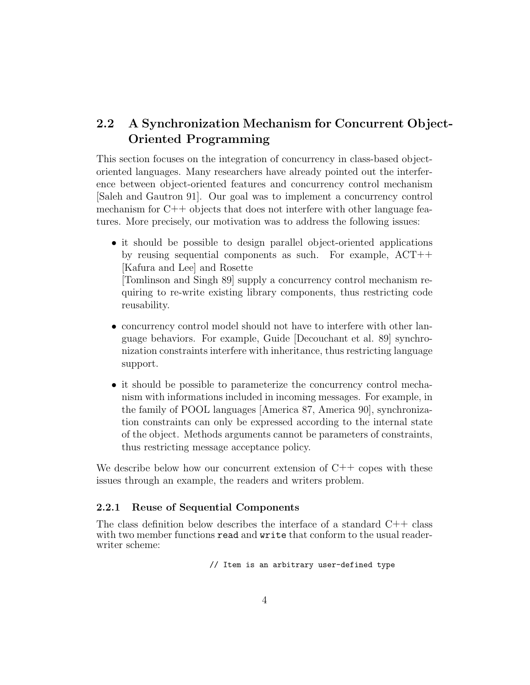# 2.2 A Synchronization Mechanism for Concurrent Object-Oriented Programming

This section focuses on the integration of concurrency in class-based objectoriented languages. Many researchers have already pointed out the interference between object-oriented features and concurrency control mechanism [Saleh and Gautron 91]. Our goal was to implement a concurrency control mechanism for  $C++$  objects that does not interfere with other language features. More precisely, our motivation was to address the following issues:

• it should be possible to design parallel object-oriented applications by reusing sequential components as such. For example, ACT++ [Kafura and Lee] and Rosette

[Tomlinson and Singh 89] supply a concurrency control mechanism requiring to re-write existing library components, thus restricting code reusability.

- concurrency control model should not have to interfere with other language behaviors. For example, Guide [Decouchant et al. 89] synchronization constraints interfere with inheritance, thus restricting language support.
- it should be possible to parameterize the concurrency control mechanism with informations included in incoming messages. For example, in the family of POOL languages [America 87, America 90], synchronization constraints can only be expressed according to the internal state of the object. Methods arguments cannot be parameters of constraints, thus restricting message acceptance policy.

We describe below how our concurrent extension of  $C++$  copes with these issues through an example, the readers and writers problem.

### 2.2.1 Reuse of Sequential Components

The class definition below describes the interface of a standard  $C++$  class with two member functions read and write that conform to the usual readerwriter scheme:

// Item is an arbitrary user-defined type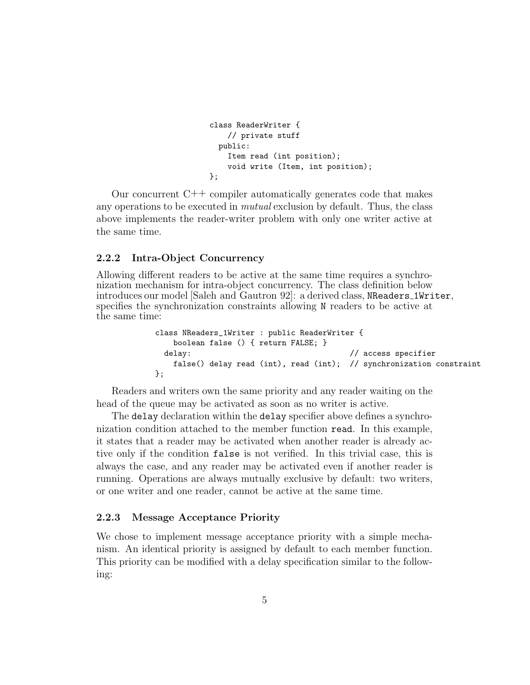```
class ReaderWriter {
    // private stuff
  public:
    Item read (int position);
    void write (Item, int position);
};
```
Our concurrent C++ compiler automatically generates code that makes any operations to be executed in mutual exclusion by default. Thus, the class above implements the reader-writer problem with only one writer active at the same time.

#### 2.2.2 Intra-Object Concurrency

Allowing different readers to be active at the same time requires a synchronization mechanism for intra-object concurrency. The class definition below introduces our model [Saleh and Gautron 92]: a derived class, NReaders 1Writer, specifies the synchronization constraints allowing N readers to be active at the same time:

```
class NReaders_1Writer : public ReaderWriter {
   boolean false () { return FALSE; }
 delay: \frac{1}{2} // access specifier
   false() delay read (int), read (int); // synchronization constraint
};
```
Readers and writers own the same priority and any reader waiting on the head of the queue may be activated as soon as no writer is active.

The delay declaration within the delay specifier above defines a synchronization condition attached to the member function read. In this example, it states that a reader may be activated when another reader is already active only if the condition false is not verified. In this trivial case, this is always the case, and any reader may be activated even if another reader is running. Operations are always mutually exclusive by default: two writers, or one writer and one reader, cannot be active at the same time.

#### 2.2.3 Message Acceptance Priority

We chose to implement message acceptance priority with a simple mechanism. An identical priority is assigned by default to each member function. This priority can be modified with a delay specification similar to the following: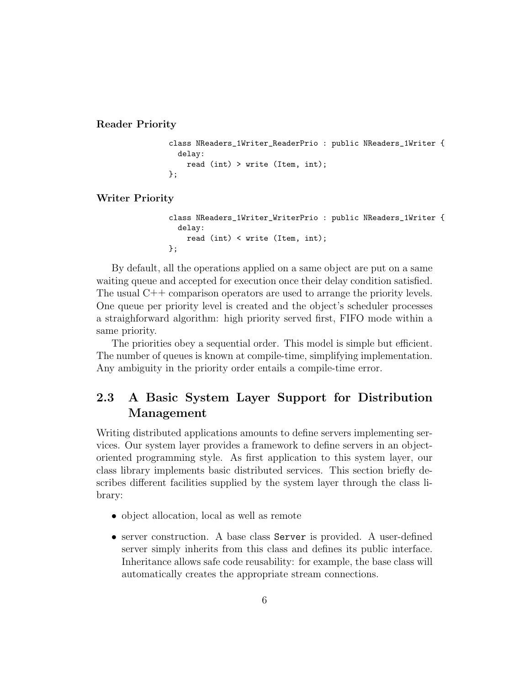#### Reader Priority

```
class NReaders_1Writer_ReaderPrio : public NReaders_1Writer {
  delay:
    read (int) > write (Item, int);
};
```
#### Writer Priority

```
class NReaders_1Writer_WriterPrio : public NReaders_1Writer {
  delay:
    read (int) < write (Item, int);
};
```
By default, all the operations applied on a same object are put on a same waiting queue and accepted for execution once their delay condition satisfied. The usual C++ comparison operators are used to arrange the priority levels. One queue per priority level is created and the object's scheduler processes a straighforward algorithm: high priority served first, FIFO mode within a same priority.

The priorities obey a sequential order. This model is simple but efficient. The number of queues is known at compile-time, simplifying implementation. Any ambiguity in the priority order entails a compile-time error.

## 2.3 A Basic System Layer Support for Distribution Management

Writing distributed applications amounts to define servers implementing services. Our system layer provides a framework to define servers in an objectoriented programming style. As first application to this system layer, our class library implements basic distributed services. This section briefly describes different facilities supplied by the system layer through the class library:

- object allocation, local as well as remote
- server construction. A base class Server is provided. A user-defined server simply inherits from this class and defines its public interface. Inheritance allows safe code reusability: for example, the base class will automatically creates the appropriate stream connections.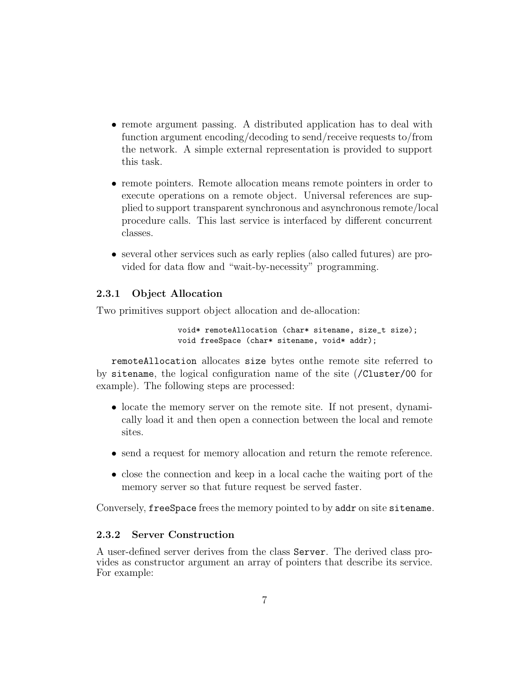- remote argument passing. A distributed application has to deal with function argument encoding/decoding to send/receive requests to/from the network. A simple external representation is provided to support this task.
- remote pointers. Remote allocation means remote pointers in order to execute operations on a remote object. Universal references are supplied to support transparent synchronous and asynchronous remote/local procedure calls. This last service is interfaced by different concurrent classes.
- several other services such as early replies (also called futures) are provided for data flow and "wait-by-necessity" programming.

### 2.3.1 Object Allocation

Two primitives support object allocation and de-allocation:

void\* remoteAllocation (char\* sitename, size\_t size); void freeSpace (char\* sitename, void\* addr);

remoteAllocation allocates size bytes onthe remote site referred to by sitename, the logical configuration name of the site (/Cluster/00 for example). The following steps are processed:

- locate the memory server on the remote site. If not present, dynamically load it and then open a connection between the local and remote sites.
- send a request for memory allocation and return the remote reference.
- close the connection and keep in a local cache the waiting port of the memory server so that future request be served faster.

Conversely, freeSpace frees the memory pointed to by addr on site sitename.

### 2.3.2 Server Construction

A user-defined server derives from the class Server. The derived class provides as constructor argument an array of pointers that describe its service. For example: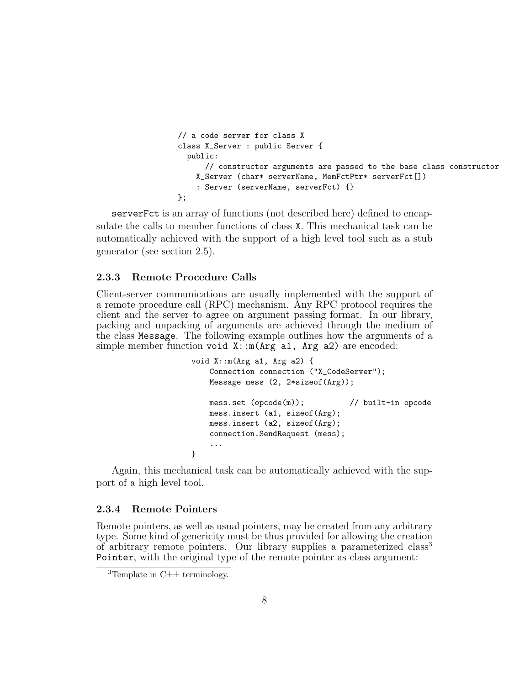```
// a code server for class X
class X_Server : public Server {
  public:
      // constructor arguments are passed to the base class constructor
    X_Server (char* serverName, MemFctPtr* serverFct[])
    : Server (serverName, serverFct) {}
};
```
serverFct is an array of functions (not described here) defined to encapsulate the calls to member functions of class X. This mechanical task can be automatically achieved with the support of a high level tool such as a stub generator (see section 2.5).

#### 2.3.3 Remote Procedure Calls

Client-server communications are usually implemented with the support of a remote procedure call (RPC) mechanism. Any RPC protocol requires the client and the server to agree on argument passing format. In our library, packing and unpacking of arguments are achieved through the medium of the class Message. The following example outlines how the arguments of a simple member function void  $X: m(\text{Arg } a1, \text{Arg } a2)$  are encoded:

```
void X::m(Arg a1, Arg a2) {
   Connection connection ("X_CodeServer");
   Message mess (2, 2*sizeof(Arg));
   mess.set (opcode(m)); // built-in opcode
   mess.insert (a1, sizeof(Arg);
   mess.insert (a2, sizeof(Arg);
   connection.SendRequest (mess);
    ...
}
```
Again, this mechanical task can be automatically achieved with the support of a high level tool.

#### 2.3.4 Remote Pointers

Remote pointers, as well as usual pointers, may be created from any arbitrary type. Some kind of genericity must be thus provided for allowing the creation of arbitrary remote pointers. Our library supplies a parameterized class<sup>3</sup> Pointer, with the original type of the remote pointer as class argument:

<sup>&</sup>lt;sup>3</sup>Template in  $C++$  terminology.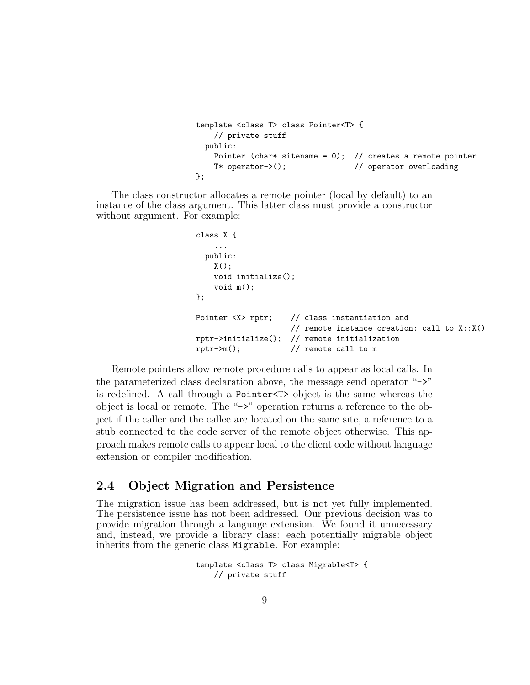```
template <class T> class Pointer<T> {
    // private stuff
  public:
   Pointer (char* sitename = 0); // creates a remote pointer
    T* operator->(); \frac{1}{2} // operator overloading
};
```
The class constructor allocates a remote pointer (local by default) to an instance of the class argument. This latter class must provide a constructor without argument. For example:

```
class X {
    ...
  public:
    X();
    void initialize();
    void m();
};
Pointer <X> rptr; // class instantiation and
                     // remote instance creation: call to X::X()
rptr->initialize(); // remote initialization
rptr\rightarrow m(); // remote call to m
```
Remote pointers allow remote procedure calls to appear as local calls. In the parameterized class declaration above, the message send operator "->" is redefined. A call through a Pointer<T> object is the same whereas the object is local or remote. The "->" operation returns a reference to the object if the caller and the callee are located on the same site, a reference to a stub connected to the code server of the remote object otherwise. This approach makes remote calls to appear local to the client code without language extension or compiler modification.

### 2.4 Object Migration and Persistence

The migration issue has been addressed, but is not yet fully implemented. The persistence issue has not been addressed. Our previous decision was to provide migration through a language extension. We found it unnecessary and, instead, we provide a library class: each potentially migrable object inherits from the generic class Migrable. For example:

```
template <class T> class Migrable<T> {
    // private stuff
```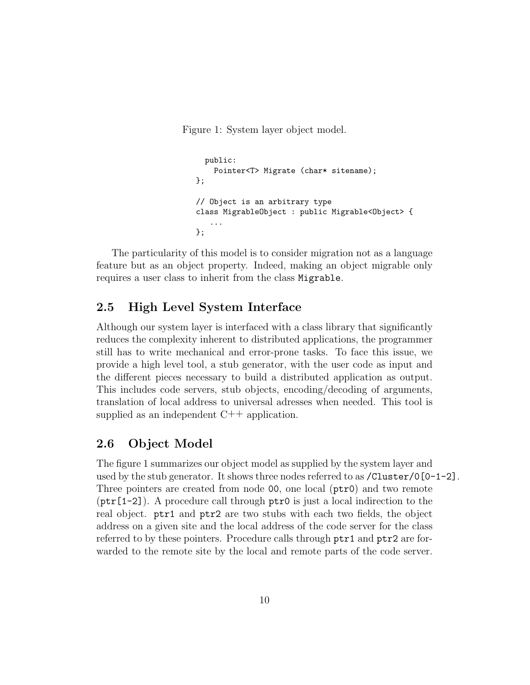Figure 1: System layer object model.

```
public:
    Pointer<T> Migrate (char* sitename);
};
// Object is an arbitrary type
class MigrableObject : public Migrable<Object> {
   ...
};
```
The particularity of this model is to consider migration not as a language feature but as an object property. Indeed, making an object migrable only requires a user class to inherit from the class Migrable.

### 2.5 High Level System Interface

Although our system layer is interfaced with a class library that significantly reduces the complexity inherent to distributed applications, the programmer still has to write mechanical and error-prone tasks. To face this issue, we provide a high level tool, a stub generator, with the user code as input and the different pieces necessary to build a distributed application as output. This includes code servers, stub objects, encoding/decoding of arguments, translation of local address to universal adresses when needed. This tool is supplied as an independent  $C++$  application.

### 2.6 Object Model

The figure 1 summarizes our object model as supplied by the system layer and used by the stub generator. It shows three nodes referred to as  $/$ Cluster $/$ 0[0-1-2]. Three pointers are created from node 00, one local (ptr0) and two remote  $(\text{ptr}[1-2])$ . A procedure call through  $\text{ptr0}$  is just a local indirection to the real object. ptr1 and ptr2 are two stubs with each two fields, the object address on a given site and the local address of the code server for the class referred to by these pointers. Procedure calls through ptr1 and ptr2 are forwarded to the remote site by the local and remote parts of the code server.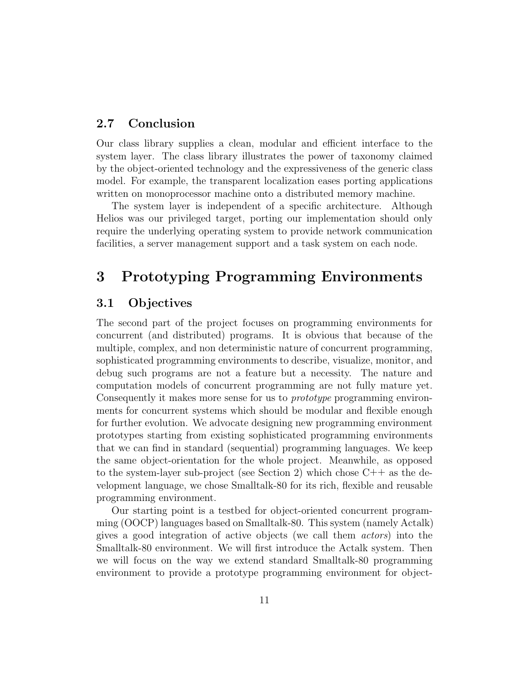### 2.7 Conclusion

Our class library supplies a clean, modular and efficient interface to the system layer. The class library illustrates the power of taxonomy claimed by the object-oriented technology and the expressiveness of the generic class model. For example, the transparent localization eases porting applications written on monoprocessor machine onto a distributed memory machine.

The system layer is independent of a specific architecture. Although Helios was our privileged target, porting our implementation should only require the underlying operating system to provide network communication facilities, a server management support and a task system on each node.

# 3 Prototyping Programming Environments

### 3.1 Objectives

The second part of the project focuses on programming environments for concurrent (and distributed) programs. It is obvious that because of the multiple, complex, and non deterministic nature of concurrent programming, sophisticated programming environments to describe, visualize, monitor, and debug such programs are not a feature but a necessity. The nature and computation models of concurrent programming are not fully mature yet. Consequently it makes more sense for us to prototype programming environments for concurrent systems which should be modular and flexible enough for further evolution. We advocate designing new programming environment prototypes starting from existing sophisticated programming environments that we can find in standard (sequential) programming languages. We keep the same object-orientation for the whole project. Meanwhile, as opposed to the system-layer sub-project (see Section 2) which chose  $C++$  as the development language, we chose Smalltalk-80 for its rich, flexible and reusable programming environment.

Our starting point is a testbed for object-oriented concurrent programming (OOCP) languages based on Smalltalk-80. This system (namely Actalk) gives a good integration of active objects (we call them actors) into the Smalltalk-80 environment. We will first introduce the Actalk system. Then we will focus on the way we extend standard Smalltalk-80 programming environment to provide a prototype programming environment for object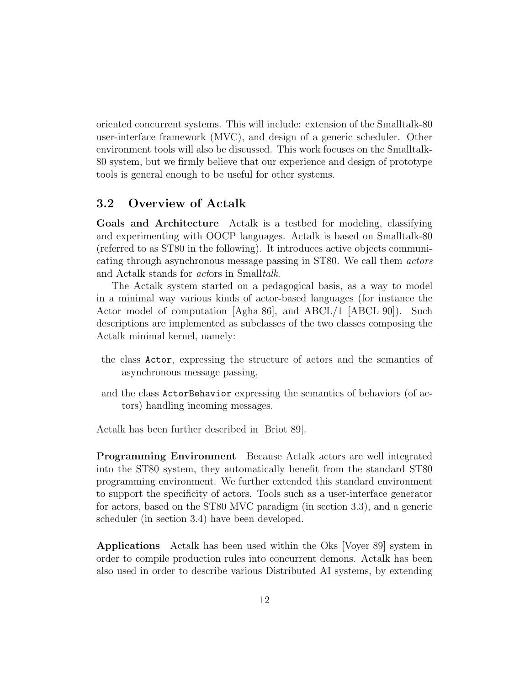oriented concurrent systems. This will include: extension of the Smalltalk-80 user-interface framework (MVC), and design of a generic scheduler. Other environment tools will also be discussed. This work focuses on the Smalltalk-80 system, but we firmly believe that our experience and design of prototype tools is general enough to be useful for other systems.

### 3.2 Overview of Actalk

Goals and Architecture Actalk is a testbed for modeling, classifying and experimenting with OOCP languages. Actalk is based on Smalltalk-80 (referred to as ST80 in the following). It introduces active objects communicating through asynchronous message passing in ST80. We call them actors and Actalk stands for actors in Smalltalk.

The Actalk system started on a pedagogical basis, as a way to model in a minimal way various kinds of actor-based languages (for instance the Actor model of computation [Agha 86], and ABCL/1 [ABCL 90]). Such descriptions are implemented as subclasses of the two classes composing the Actalk minimal kernel, namely:

- the class Actor, expressing the structure of actors and the semantics of asynchronous message passing,
- and the class ActorBehavior expressing the semantics of behaviors (of actors) handling incoming messages.

Actalk has been further described in [Briot 89].

Programming Environment Because Actalk actors are well integrated into the ST80 system, they automatically benefit from the standard ST80 programming environment. We further extended this standard environment to support the specificity of actors. Tools such as a user-interface generator for actors, based on the ST80 MVC paradigm (in section 3.3), and a generic scheduler (in section 3.4) have been developed.

Applications Actalk has been used within the Oks [Voyer 89] system in order to compile production rules into concurrent demons. Actalk has been also used in order to describe various Distributed AI systems, by extending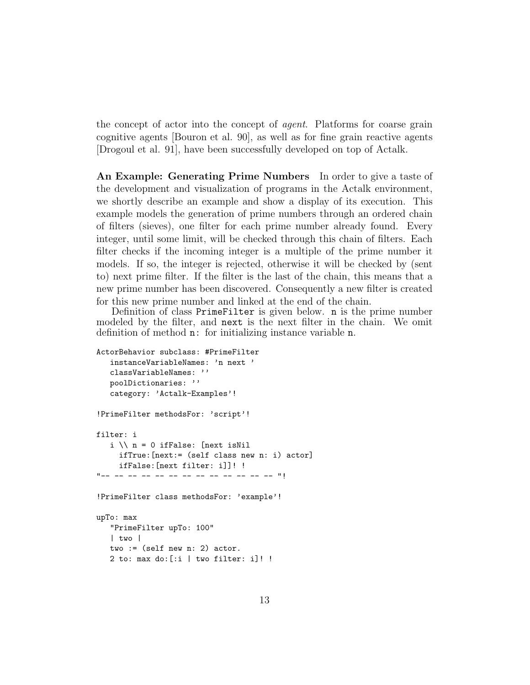the concept of actor into the concept of agent. Platforms for coarse grain cognitive agents [Bouron et al. 90], as well as for fine grain reactive agents [Drogoul et al. 91], have been successfully developed on top of Actalk.

An Example: Generating Prime Numbers In order to give a taste of the development and visualization of programs in the Actalk environment, we shortly describe an example and show a display of its execution. This example models the generation of prime numbers through an ordered chain of filters (sieves), one filter for each prime number already found. Every integer, until some limit, will be checked through this chain of filters. Each filter checks if the incoming integer is a multiple of the prime number it models. If so, the integer is rejected, otherwise it will be checked by (sent to) next prime filter. If the filter is the last of the chain, this means that a new prime number has been discovered. Consequently a new filter is created for this new prime number and linked at the end of the chain.

Definition of class PrimeFilter is given below. n is the prime number modeled by the filter, and next is the next filter in the chain. We omit definition of method n: for initializing instance variable n.

```
ActorBehavior subclass: #PrimeFilter
   instanceVariableNames: 'n next '
   classVariableNames: ''
   poolDictionaries: ''
   category: 'Actalk-Examples'!
!PrimeFilter methodsFor: 'script'!
filter: i
   i \setminus n = 0 ifFalse: [next isNil
     ifTrue:[next:= (self class new n: i) actor]
     ifFalse:[next filter: i]]! !
"-- -- -- -- -- -- -- -- -- -- -- -- -- "!
!PrimeFilter class methodsFor: 'example'!
upTo: max
   "PrimeFilter upTo: 100"
   | two |
   two := (self new n: 2) actor.
   2 to: max do:[:i | two filter: i]! !
```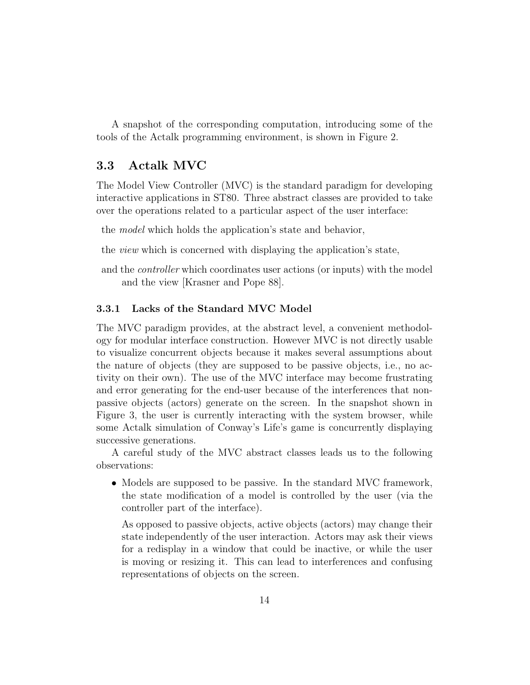A snapshot of the corresponding computation, introducing some of the tools of the Actalk programming environment, is shown in Figure 2.

### 3.3 Actalk MVC

The Model View Controller (MVC) is the standard paradigm for developing interactive applications in ST80. Three abstract classes are provided to take over the operations related to a particular aspect of the user interface:

the model which holds the application's state and behavior,

the view which is concerned with displaying the application's state,

and the controller which coordinates user actions (or inputs) with the model and the view [Krasner and Pope 88].

### 3.3.1 Lacks of the Standard MVC Model

The MVC paradigm provides, at the abstract level, a convenient methodology for modular interface construction. However MVC is not directly usable to visualize concurrent objects because it makes several assumptions about the nature of objects (they are supposed to be passive objects, i.e., no activity on their own). The use of the MVC interface may become frustrating and error generating for the end-user because of the interferences that nonpassive objects (actors) generate on the screen. In the snapshot shown in Figure 3, the user is currently interacting with the system browser, while some Actalk simulation of Conway's Life's game is concurrently displaying successive generations.

A careful study of the MVC abstract classes leads us to the following observations:

• Models are supposed to be passive. In the standard MVC framework, the state modification of a model is controlled by the user (via the controller part of the interface).

As opposed to passive objects, active objects (actors) may change their state independently of the user interaction. Actors may ask their views for a redisplay in a window that could be inactive, or while the user is moving or resizing it. This can lead to interferences and confusing representations of objects on the screen.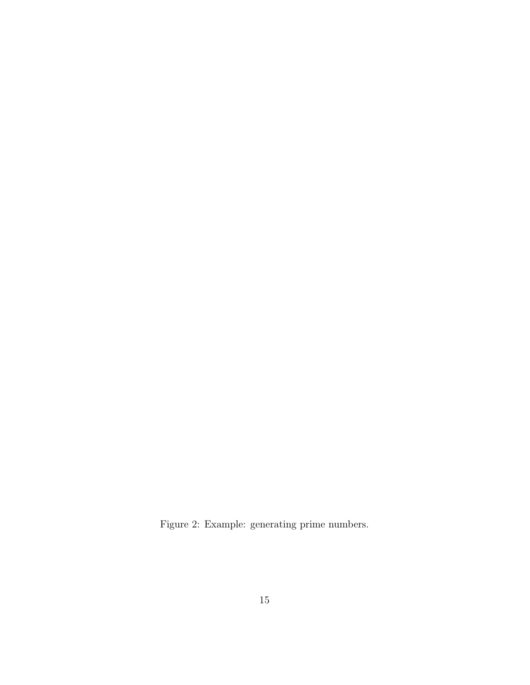Figure 2: Example: generating prime numbers.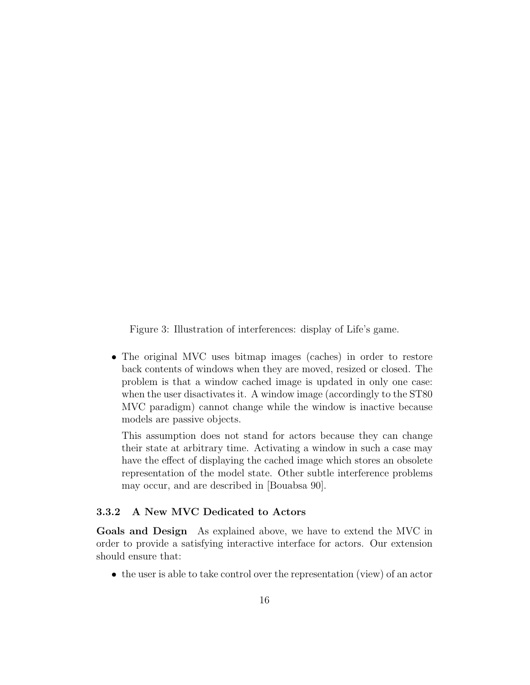Figure 3: Illustration of interferences: display of Life's game.

• The original MVC uses bitmap images (caches) in order to restore back contents of windows when they are moved, resized or closed. The problem is that a window cached image is updated in only one case: when the user disactivates it. A window image (accordingly to the ST80 MVC paradigm) cannot change while the window is inactive because models are passive objects.

This assumption does not stand for actors because they can change their state at arbitrary time. Activating a window in such a case may have the effect of displaying the cached image which stores an obsolete representation of the model state. Other subtle interference problems may occur, and are described in [Bouabsa 90].

#### 3.3.2 A New MVC Dedicated to Actors

Goals and Design As explained above, we have to extend the MVC in order to provide a satisfying interactive interface for actors. Our extension should ensure that:

• the user is able to take control over the representation (view) of an actor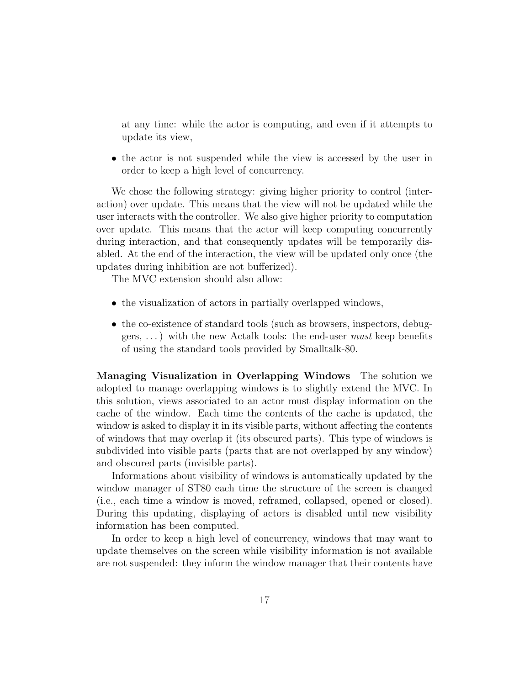at any time: while the actor is computing, and even if it attempts to update its view,

• the actor is not suspended while the view is accessed by the user in order to keep a high level of concurrency.

We chose the following strategy: giving higher priority to control (interaction) over update. This means that the view will not be updated while the user interacts with the controller. We also give higher priority to computation over update. This means that the actor will keep computing concurrently during interaction, and that consequently updates will be temporarily disabled. At the end of the interaction, the view will be updated only once (the updates during inhibition are not bufferized).

The MVC extension should also allow:

- the visualization of actors in partially overlapped windows,
- the co-existence of standard tools (such as browsers, inspectors, debuggers,  $\dots$ ) with the new Actalk tools: the end-user must keep benefits of using the standard tools provided by Smalltalk-80.

Managing Visualization in Overlapping Windows The solution we adopted to manage overlapping windows is to slightly extend the MVC. In this solution, views associated to an actor must display information on the cache of the window. Each time the contents of the cache is updated, the window is asked to display it in its visible parts, without affecting the contents of windows that may overlap it (its obscured parts). This type of windows is subdivided into visible parts (parts that are not overlapped by any window) and obscured parts (invisible parts).

Informations about visibility of windows is automatically updated by the window manager of ST80 each time the structure of the screen is changed (i.e., each time a window is moved, reframed, collapsed, opened or closed). During this updating, displaying of actors is disabled until new visibility information has been computed.

In order to keep a high level of concurrency, windows that may want to update themselves on the screen while visibility information is not available are not suspended: they inform the window manager that their contents have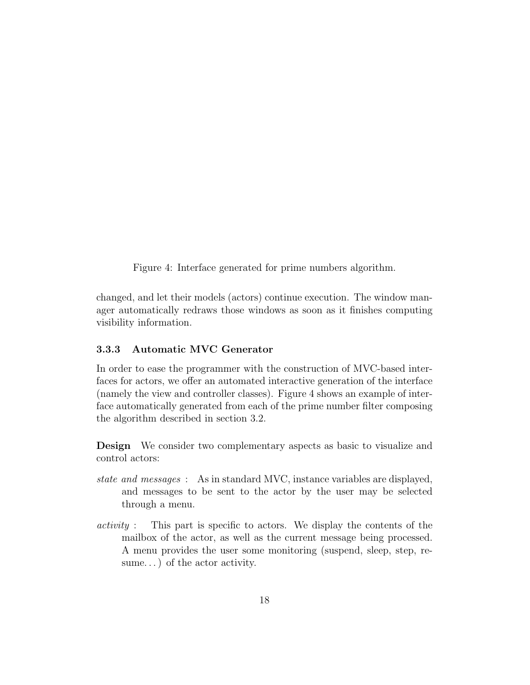Figure 4: Interface generated for prime numbers algorithm.

changed, and let their models (actors) continue execution. The window manager automatically redraws those windows as soon as it finishes computing visibility information.

### 3.3.3 Automatic MVC Generator

In order to ease the programmer with the construction of MVC-based interfaces for actors, we offer an automated interactive generation of the interface (namely the view and controller classes). Figure 4 shows an example of interface automatically generated from each of the prime number filter composing the algorithm described in section 3.2.

Design We consider two complementary aspects as basic to visualize and control actors:

- state and messages : As in standard MVC, instance variables are displayed, and messages to be sent to the actor by the user may be selected through a menu.
- activity : This part is specific to actors. We display the contents of the mailbox of the actor, as well as the current message being processed. A menu provides the user some monitoring (suspend, sleep, step, resume...) of the actor activity.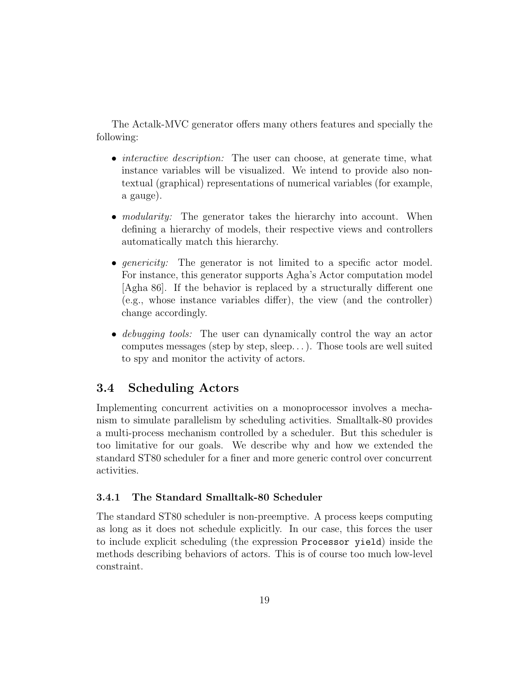The Actalk-MVC generator offers many others features and specially the following:

- *interactive description:* The user can choose, at generate time, what instance variables will be visualized. We intend to provide also nontextual (graphical) representations of numerical variables (for example, a gauge).
- *modularity:* The generator takes the hierarchy into account. When defining a hierarchy of models, their respective views and controllers automatically match this hierarchy.
- *genericity:* The generator is not limited to a specific actor model. For instance, this generator supports Agha's Actor computation model [Agha 86]. If the behavior is replaced by a structurally different one (e.g., whose instance variables differ), the view (and the controller) change accordingly.
- debugging tools: The user can dynamically control the way an actor computes messages (step by step, sleep. . . ). Those tools are well suited to spy and monitor the activity of actors.

### 3.4 Scheduling Actors

Implementing concurrent activities on a monoprocessor involves a mechanism to simulate parallelism by scheduling activities. Smalltalk-80 provides a multi-process mechanism controlled by a scheduler. But this scheduler is too limitative for our goals. We describe why and how we extended the standard ST80 scheduler for a finer and more generic control over concurrent activities.

### 3.4.1 The Standard Smalltalk-80 Scheduler

The standard ST80 scheduler is non-preemptive. A process keeps computing as long as it does not schedule explicitly. In our case, this forces the user to include explicit scheduling (the expression Processor yield) inside the methods describing behaviors of actors. This is of course too much low-level constraint.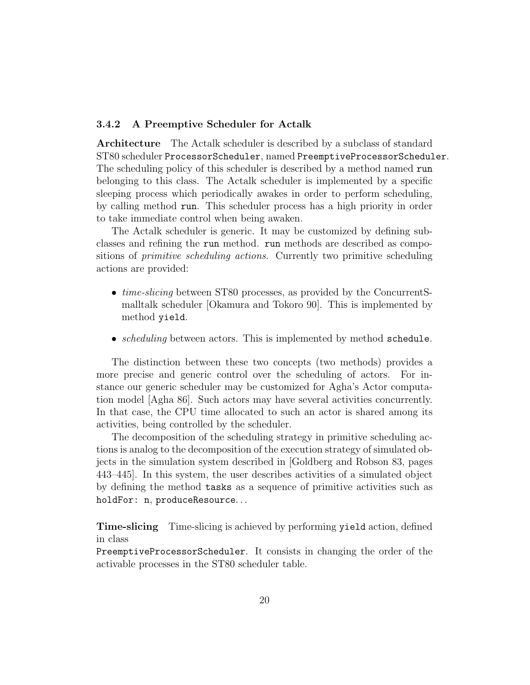#### 3.4.2 A Preemptive Scheduler for Actalk

Architecture The Actalk scheduler is described by a subclass of standard ST80 scheduler ProcessorScheduler, named PreemptiveProcessorScheduler. The scheduling policy of this scheduler is described by a method named run belonging to this class. The Actalk scheduler is implemented by a specific sleeping process which periodically awakes in order to perform scheduling, by calling method run. This scheduler process has a high priority in order to take immediate control when being awaken.

The Actalk scheduler is generic. It may be customized by defining subclasses and refining the run method. run methods are described as compositions of primitive scheduling actions. Currently two primitive scheduling actions are provided:

- *time-slicing* between ST80 processes, as provided by the ConcurrentSmalltalk scheduler [Okamura and Tokoro 90]. This is implemented by method yield.
- *scheduling* between actors. This is implemented by method schedule.

The distinction between these two concepts (two methods) provides a more precise and generic control over the scheduling of actors. For instance our generic scheduler may be customized for Agha's Actor computation model [Agha 86]. Such actors may have several activities concurrently. In that case, the CPU time allocated to such an actor is shared among its activities, being controlled by the scheduler.

The decomposition of the scheduling strategy in primitive scheduling actions is analog to the decomposition of the execution strategy of simulated objects in the simulation system described in [Goldberg and Robson 83, pages 443–445]. In this system, the user describes activities of a simulated object by defining the method tasks as a sequence of primitive activities such as holdFor: n, produceResource. . .

Time-slicing Time-slicing is achieved by performing yield action, defined in class

PreemptiveProcessorScheduler. It consists in changing the order of the activable processes in the ST80 scheduler table.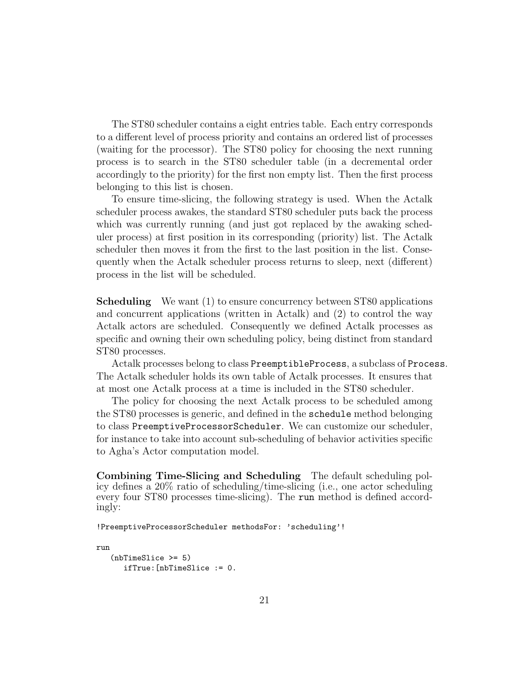The ST80 scheduler contains a eight entries table. Each entry corresponds to a different level of process priority and contains an ordered list of processes (waiting for the processor). The ST80 policy for choosing the next running process is to search in the ST80 scheduler table (in a decremental order accordingly to the priority) for the first non empty list. Then the first process belonging to this list is chosen.

To ensure time-slicing, the following strategy is used. When the Actalk scheduler process awakes, the standard ST80 scheduler puts back the process which was currently running (and just got replaced by the awaking scheduler process) at first position in its corresponding (priority) list. The Actalk scheduler then moves it from the first to the last position in the list. Consequently when the Actalk scheduler process returns to sleep, next (different) process in the list will be scheduled.

Scheduling We want (1) to ensure concurrency between ST80 applications and concurrent applications (written in Actalk) and (2) to control the way Actalk actors are scheduled. Consequently we defined Actalk processes as specific and owning their own scheduling policy, being distinct from standard ST80 processes.

Actalk processes belong to class PreemptibleProcess, a subclass of Process. The Actalk scheduler holds its own table of Actalk processes. It ensures that at most one Actalk process at a time is included in the ST80 scheduler.

The policy for choosing the next Actalk process to be scheduled among the ST80 processes is generic, and defined in the schedule method belonging to class PreemptiveProcessorScheduler. We can customize our scheduler, for instance to take into account sub-scheduling of behavior activities specific to Agha's Actor computation model.

Combining Time-Slicing and Scheduling The default scheduling policy defines a 20% ratio of scheduling/time-slicing (i.e., one actor scheduling every four ST80 processes time-slicing). The run method is defined accordingly:

!PreemptiveProcessorScheduler methodsFor: 'scheduling'!

```
run
   (nbTimeSlice >= 5)
      ifTrue:[nbTimeSlice := 0.
```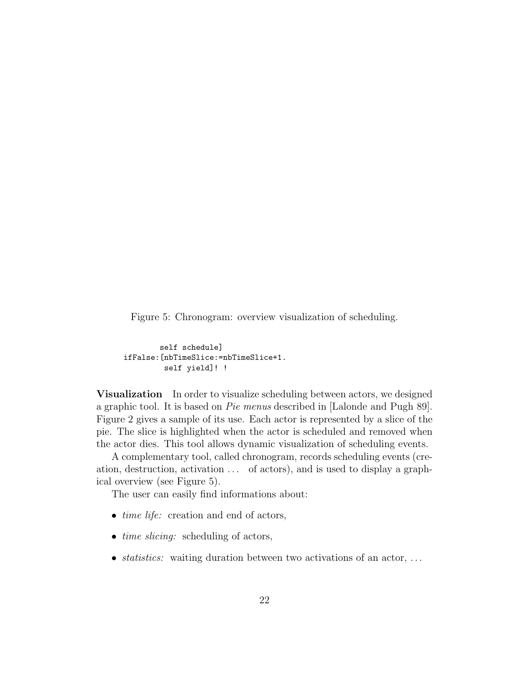Figure 5: Chronogram: overview visualization of scheduling.

```
self schedule]
ifFalse:[nbTimeSlice:=nbTimeSlice+1.
         self yield]! !
```
**Visualization** In order to visualize scheduling between actors, we designed a graphic tool. It is based on Pie menus described in [Lalonde and Pugh 89]. Figure 2 gives a sample of its use. Each actor is represented by a slice of the pie. The slice is highlighted when the actor is scheduled and removed when the actor dies. This tool allows dynamic visualization of scheduling events.

A complementary tool, called chronogram, records scheduling events (creation, destruction, activation . . . of actors), and is used to display a graphical overview (see Figure 5).

The user can easily find informations about:

- *time life:* creation and end of actors,
- *time slicing:* scheduling of actors,
- statistics: waiting duration between two activations of an actor,  $\dots$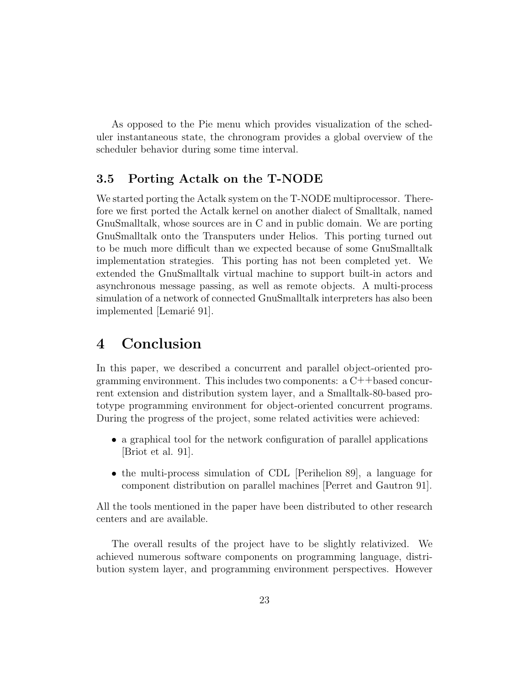As opposed to the Pie menu which provides visualization of the scheduler instantaneous state, the chronogram provides a global overview of the scheduler behavior during some time interval.

### 3.5 Porting Actalk on the T-NODE

We started porting the Actalk system on the T-NODE multiprocessor. Therefore we first ported the Actalk kernel on another dialect of Smalltalk, named GnuSmalltalk, whose sources are in C and in public domain. We are porting GnuSmalltalk onto the Transputers under Helios. This porting turned out to be much more difficult than we expected because of some GnuSmalltalk implementation strategies. This porting has not been completed yet. We extended the GnuSmalltalk virtual machine to support built-in actors and asynchronous message passing, as well as remote objects. A multi-process simulation of a network of connected GnuSmalltalk interpreters has also been implemented [Lemarié 91].

# 4 Conclusion

In this paper, we described a concurrent and parallel object-oriented programming environment. This includes two components:  $a C++b$  as concurrent extension and distribution system layer, and a Smalltalk-80-based prototype programming environment for object-oriented concurrent programs. During the progress of the project, some related activities were achieved:

- a graphical tool for the network configuration of parallel applications [Briot et al. 91].
- the multi-process simulation of CDL [Perihelion 89], a language for component distribution on parallel machines [Perret and Gautron 91].

All the tools mentioned in the paper have been distributed to other research centers and are available.

The overall results of the project have to be slightly relativized. We achieved numerous software components on programming language, distribution system layer, and programming environment perspectives. However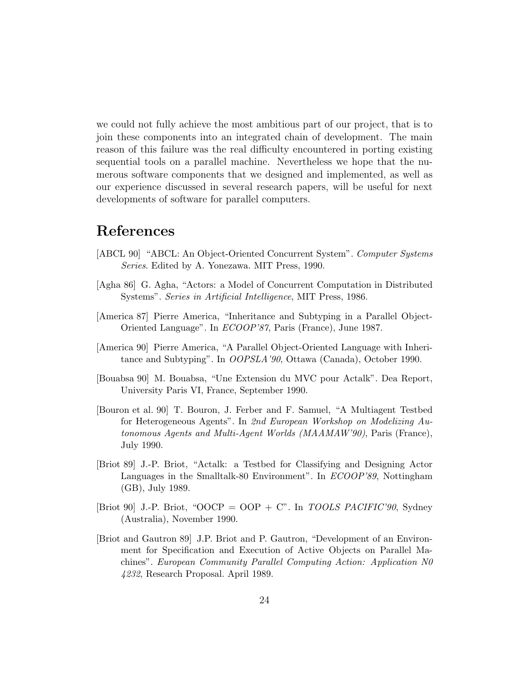we could not fully achieve the most ambitious part of our project, that is to join these components into an integrated chain of development. The main reason of this failure was the real difficulty encountered in porting existing sequential tools on a parallel machine. Nevertheless we hope that the numerous software components that we designed and implemented, as well as our experience discussed in several research papers, will be useful for next developments of software for parallel computers.

# References

- [ABCL 90] "ABCL: An Object-Oriented Concurrent System". Computer Systems Series. Edited by A. Yonezawa. MIT Press, 1990.
- [Agha 86] G. Agha, "Actors: a Model of Concurrent Computation in Distributed Systems". Series in Artificial Intelligence, MIT Press, 1986.
- [America 87] Pierre America, "Inheritance and Subtyping in a Parallel Object-Oriented Language". In ECOOP'87, Paris (France), June 1987.
- [America 90] Pierre America, "A Parallel Object-Oriented Language with Inheritance and Subtyping". In OOPSLA'90, Ottawa (Canada), October 1990.
- [Bouabsa 90] M. Bouabsa, "Une Extension du MVC pour Actalk". Dea Report, University Paris VI, France, September 1990.
- [Bouron et al. 90] T. Bouron, J. Ferber and F. Samuel, "A Multiagent Testbed for Heterogeneous Agents". In 2nd European Workshop on Modelizing Autonomous Agents and Multi-Agent Worlds (MAAMAW'90), Paris (France), July 1990.
- [Briot 89] J.-P. Briot, "Actalk: a Testbed for Classifying and Designing Actor Languages in the Smalltalk-80 Environment". In ECOOP'89, Nottingham (GB), July 1989.
- [Briot 90] J.-P. Briot, "OOCP = OOP + C". In *TOOLS PACIFIC*'90, Sydney (Australia), November 1990.
- [Briot and Gautron 89] J.P. Briot and P. Gautron, "Development of an Environment for Specification and Execution of Active Objects on Parallel Machines". European Community Parallel Computing Action: Application N0 4232, Research Proposal. April 1989.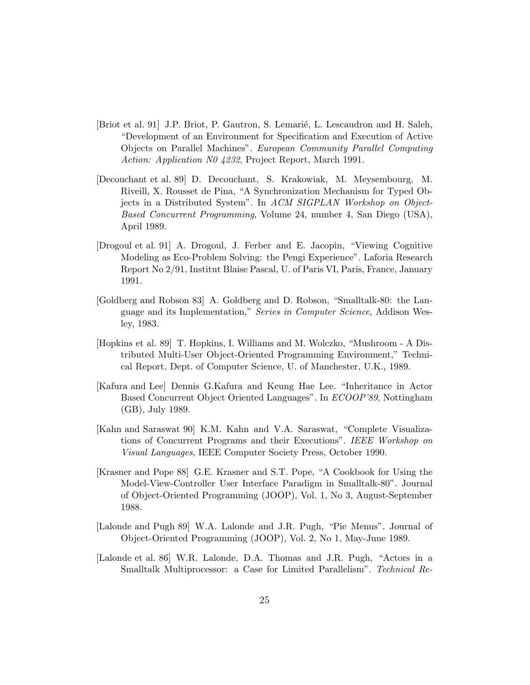- [Briot et al. 91] J.P. Briot, P. Gautron, S. Lemarié, L. Lescaudron and H. Saleh, "Development of an Environment for Specification and Execution of Active Objects on Parallel Machines". European Community Parallel Computing Action: Application N0 4232, Project Report, March 1991.
- [Decouchant et al. 89] D. Decouchant, S. Krakowiak, M. Meysembourg, M. Riveill, X. Rousset de Pina, "A Synchronization Mechanism for Typed Objects in a Distributed System". In ACM SIGPLAN Workshop on Object-Based Concurrent Programming, Volume 24, number 4, San Diego (USA), April 1989.
- [Drogoul et al. 91] A. Drogoul, J. Ferber and E. Jacopin, "Viewing Cognitive Modeling as Eco-Problem Solving: the Pengi Experience". Laforia Research Report No 2/91, Institut Blaise Pascal, U. of Paris VI, Paris, France, January 1991.
- [Goldberg and Robson 83] A. Goldberg and D. Robson, "Smalltalk-80: the Language and its Implementation," Series in Computer Science, Addison Wesley, 1983.
- [Hopkins et al. 89] T. Hopkins, I. Williams and M. Wolczko, "Mushroom A Distributed Multi-User Object-Oriented Programming Environment," Technical Report, Dept. of Computer Science, U. of Manchester, U.K., 1989.
- [Kafura and Lee] Dennis G.Kafura and Keung Hae Lee. "Inheritance in Actor Based Concurrent Object Oriented Languages". In ECOOP'89, Nottingham (GB), July 1989.
- [Kahn and Saraswat 90] K.M. Kahn and V.A. Saraswat, "Complete Visualizations of Concurrent Programs and their Executions". IEEE Workshop on Visual Languages, IEEE Computer Society Press, October 1990.
- [Krasner and Pope 88] G.E. Krasner and S.T. Pope, "A Cookbook for Using the Model-View-Controller User Interface Paradigm in Smalltalk-80". Journal of Object-Oriented Programming (JOOP), Vol. 1, No 3, August-September 1988.
- [Lalonde and Pugh 89] W.A. Lalonde and J.R. Pugh, "Pie Menus". Journal of Object-Oriented Programming (JOOP), Vol. 2, No 1, May-June 1989.
- [Lalonde et al. 86] W.R. Lalonde, D.A. Thomas and J.R. Pugh, "Actors in a Smalltalk Multiprocessor: a Case for Limited Parallelism". Technical Re-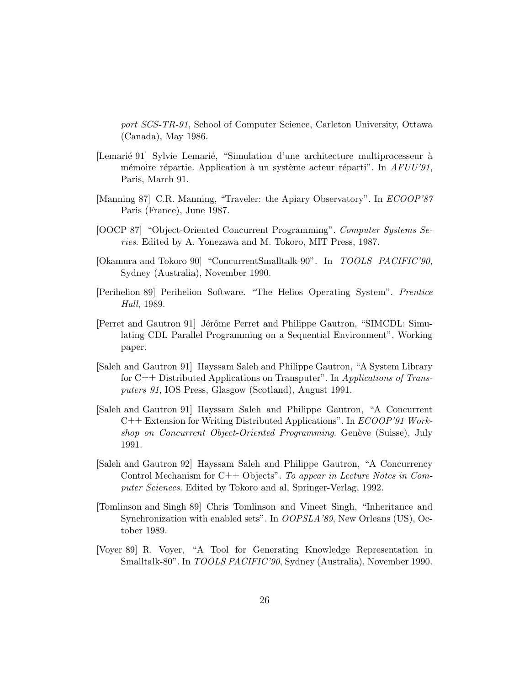port SCS-TR-91, School of Computer Science, Carleton University, Ottawa (Canada), May 1986.

- [Lemarié 91] Sylvie Lemarié, "Simulation d'une architecture multiprocesseur à mémoire répartie. Application à un système acteur réparti". In  $AFUU'91$ , Paris, March 91.
- [Manning 87] C.R. Manning, "Traveler: the Apiary Observatory". In ECOOP'87 Paris (France), June 1987.
- [OOCP 87] "Object-Oriented Concurrent Programming". Computer Systems Series. Edited by A. Yonezawa and M. Tokoro, MIT Press, 1987.
- [Okamura and Tokoro 90] "ConcurrentSmalltalk-90". In TOOLS PACIFIC'90, Sydney (Australia), November 1990.
- [Perihelion 89] Perihelion Software. "The Helios Operating System". Prentice Hall, 1989.
- [Perret and Gautron 91] Jérôme Perret and Philippe Gautron, "SIMCDL: Simulating CDL Parallel Programming on a Sequential Environment". Working paper.
- [Saleh and Gautron 91] Hayssam Saleh and Philippe Gautron, "A System Library for C++ Distributed Applications on Transputer". In Applications of Transputers 91, IOS Press, Glasgow (Scotland), August 1991.
- [Saleh and Gautron 91] Hayssam Saleh and Philippe Gautron, "A Concurrent C++ Extension for Writing Distributed Applications". In ECOOP'91 Workshop on Concurrent Object-Oriented Programming. Genève (Suisse), July 1991.
- [Saleh and Gautron 92] Hayssam Saleh and Philippe Gautron, "A Concurrency Control Mechanism for C++ Objects". To appear in Lecture Notes in Computer Sciences. Edited by Tokoro and al, Springer-Verlag, 1992.
- [Tomlinson and Singh 89] Chris Tomlinson and Vineet Singh, "Inheritance and Synchronization with enabled sets". In OOPSLA'89, New Orleans (US), October 1989.
- [Voyer 89] R. Voyer, "A Tool for Generating Knowledge Representation in Smalltalk-80". In TOOLS PACIFIC'90, Sydney (Australia), November 1990.